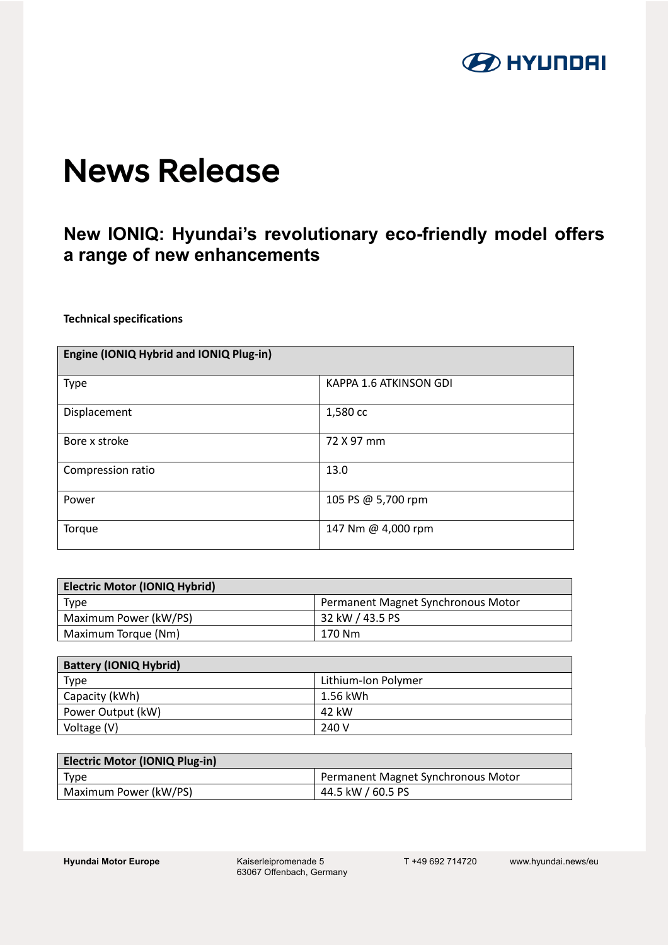

# **News Release**

# **New IONIQ: Hyundai's revolutionary eco-friendly model offers a range of new enhancements**

**Technical specifications**

| Engine (IONIQ Hybrid and IONIQ Plug-in) |                        |
|-----------------------------------------|------------------------|
| Type                                    | KAPPA 1.6 ATKINSON GDI |
| Displacement                            | 1,580 cc               |
| Bore x stroke                           | 72 X 97 mm             |
| Compression ratio                       | 13.0                   |
| Power                                   | 105 PS @ 5,700 rpm     |
| Torque                                  | 147 Nm @ 4,000 rpm     |

| <b>Electric Motor (IONIQ Hybrid)</b> |                                    |
|--------------------------------------|------------------------------------|
| Type                                 | Permanent Magnet Synchronous Motor |
| Maximum Power (kW/PS)                | 32 kW / 43.5 PS                    |
| Maximum Torque (Nm)                  | 170 Nm                             |

| <b>Battery (IONIQ Hybrid)</b> |                     |
|-------------------------------|---------------------|
| Type                          | Lithium-Ion Polymer |
| Capacity (kWh)                | 1.56 kWh            |
| Power Output (kW)             | 42 kW               |
| Voltage (V)                   | 240 V               |

| <b>Electric Motor (IONIQ Plug-in)</b> |                                    |
|---------------------------------------|------------------------------------|
| <b>Type</b>                           | Permanent Magnet Synchronous Motor |
| Maximum Power (kW/PS)                 | 44.5 kW / 60.5 PS                  |

Hyundai Motor Europe **Kaiserleipromenade 5** 63067 Offenbach, Germany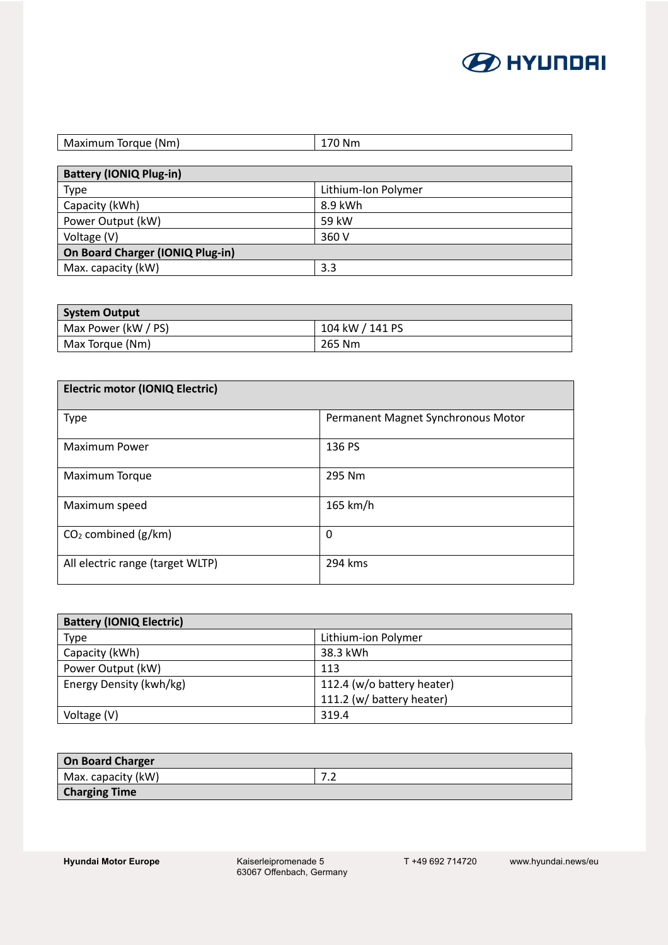

| Maximum Torque (Nm)           | 170 Nm |
|-------------------------------|--------|
|                               |        |
| $Rother /  ON  D \ln a \ln b$ |        |

| <b>DALIERY (IONIQ PIUS-III)</b>  |                     |
|----------------------------------|---------------------|
| Type                             | Lithium-Ion Polymer |
| Capacity (kWh)                   | 8.9 kWh             |
| Power Output (kW)                | 59 kW               |
| Voltage (V)                      | 360 V               |
| On Board Charger (IONIQ Plug-in) |                     |
| Max. capacity (kW)               | 3.3                 |

| <b>System Output</b> |                 |
|----------------------|-----------------|
| Max Power (kW / PS)  | 104 kW / 141 PS |
| Max Torque (Nm)      | 265 Nm          |

| <b>Electric motor (IONIQ Electric)</b> |                                    |
|----------------------------------------|------------------------------------|
| Type                                   | Permanent Magnet Synchronous Motor |
| <b>Maximum Power</b>                   | 136 PS                             |
| Maximum Torque                         | 295 Nm                             |
| Maximum speed                          | 165 km/h                           |
| $CO2$ combined (g/km)                  | 0                                  |
| All electric range (target WLTP)       | 294 kms                            |

| <b>Battery (IONIQ Electric)</b> |                            |
|---------------------------------|----------------------------|
| Type                            | Lithium-ion Polymer        |
| Capacity (kWh)                  | 38.3 kWh                   |
| Power Output (kW)               | 113                        |
| Energy Density (kwh/kg)         | 112.4 (w/o battery heater) |
|                                 | 111.2 (w/ battery heater)  |
| Voltage (V)                     | 319.4                      |

| <b>On Board Charger</b> |     |
|-------------------------|-----|
| Max. capacity (kW)      | ـــ |
| <b>Charging Time</b>    |     |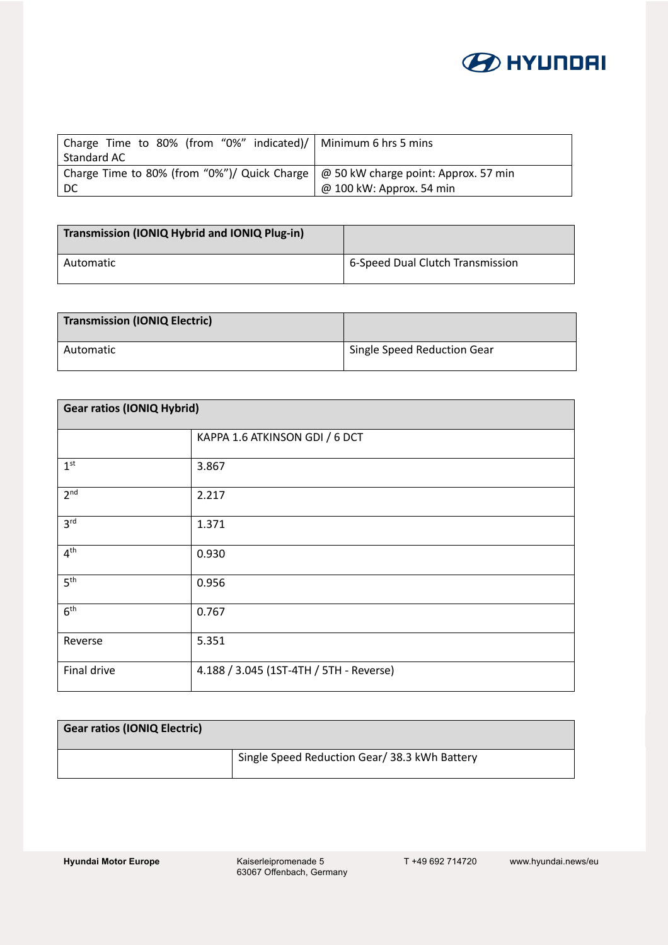

| Charge Time to 80% (from "0%" indicated)/   Minimum 6 hrs 5 mins                              |                          |
|-----------------------------------------------------------------------------------------------|--------------------------|
| Standard AC                                                                                   |                          |
| Charge Time to 80% (from "0%")/ Quick Charge $\mid \varpi$ 50 kW charge point: Approx. 57 min |                          |
| - DC                                                                                          | @ 100 kW: Approx. 54 min |

| Transmission (IONIQ Hybrid and IONIQ Plug-in) |                                  |
|-----------------------------------------------|----------------------------------|
| Automatic                                     | 6-Speed Dual Clutch Transmission |

| <b>Transmission (IONIQ Electric)</b> |                                          |
|--------------------------------------|------------------------------------------|
| Automatic                            | <sup>1</sup> Single Speed Reduction Gear |

| <b>Gear ratios (IONIQ Hybrid)</b> |                                         |
|-----------------------------------|-----------------------------------------|
|                                   | KAPPA 1.6 ATKINSON GDI / 6 DCT          |
| 1 <sup>st</sup>                   | 3.867                                   |
| 2 <sup>nd</sup>                   | 2.217                                   |
| 3 <sup>rd</sup>                   | 1.371                                   |
| 4 <sup>th</sup>                   | 0.930                                   |
| 5 <sup>th</sup>                   | 0.956                                   |
| 6 <sup>th</sup>                   | 0.767                                   |
| Reverse                           | 5.351                                   |
| Final drive                       | 4.188 / 3.045 (1ST-4TH / 5TH - Reverse) |

| <b>Gear ratios (IONIQ Electric)</b> |                                               |
|-------------------------------------|-----------------------------------------------|
|                                     | Single Speed Reduction Gear/ 38.3 kWh Battery |

**Hyundai Motor Europe** 

Kaiserleipromenade 5<br>63067 Offenbach, Germany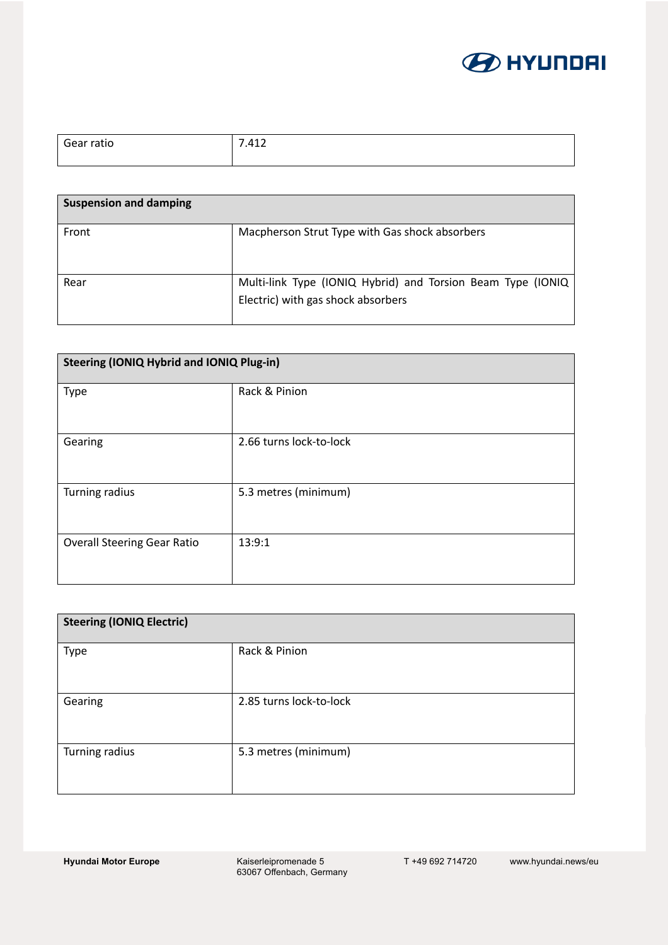

| Gear ratio | .412<br>$\overline{\phantom{a}}$ |
|------------|----------------------------------|
|            |                                  |

| <b>Suspension and damping</b> |                                                                                                   |
|-------------------------------|---------------------------------------------------------------------------------------------------|
| Front                         | Macpherson Strut Type with Gas shock absorbers                                                    |
| Rear                          | Multi-link Type (IONIQ Hybrid) and Torsion Beam Type (IONIQ<br>Electric) with gas shock absorbers |

| <b>Steering (IONIQ Hybrid and IONIQ Plug-in)</b> |                         |
|--------------------------------------------------|-------------------------|
| Type                                             | Rack & Pinion           |
| Gearing                                          | 2.66 turns lock-to-lock |
| Turning radius                                   | 5.3 metres (minimum)    |
| <b>Overall Steering Gear Ratio</b>               | 13:9:1                  |

| <b>Steering (IONIQ Electric)</b> |                         |
|----------------------------------|-------------------------|
| Type                             | Rack & Pinion           |
| Gearing                          | 2.85 turns lock-to-lock |
| Turning radius                   | 5.3 metres (minimum)    |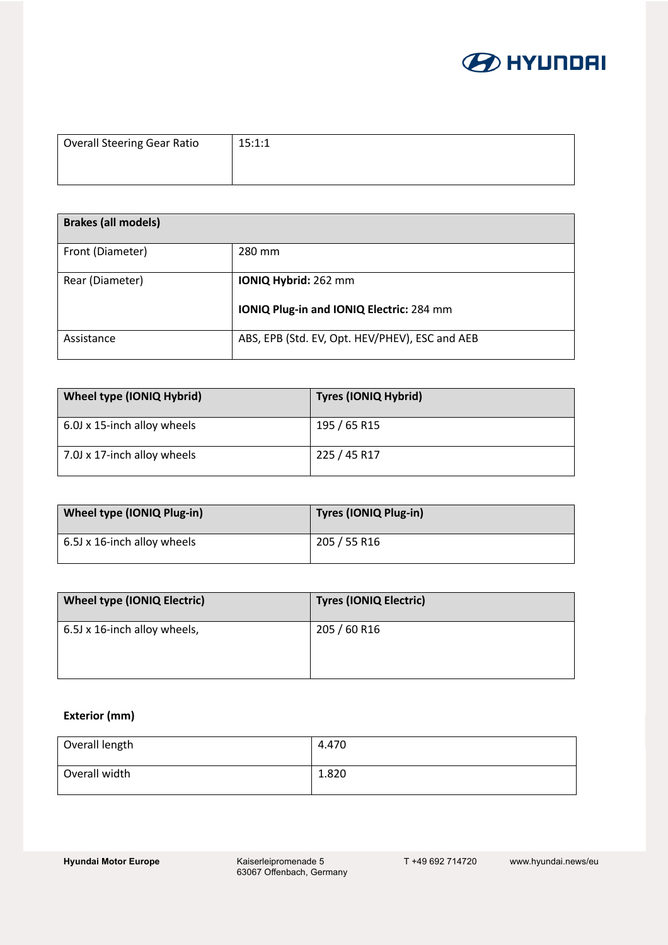

| <b>Overall Steering Gear Ratio</b> | 15:1:1 |
|------------------------------------|--------|
|                                    |        |

| <b>Brakes (all models)</b> |                                                 |
|----------------------------|-------------------------------------------------|
| Front (Diameter)           | 280 mm                                          |
| Rear (Diameter)            | IONIQ Hybrid: 262 mm                            |
|                            | <b>IONIQ Plug-in and IONIQ Electric: 284 mm</b> |
| Assistance                 | ABS, EPB (Std. EV, Opt. HEV/PHEV), ESC and AEB  |

| Wheel type (IONIQ Hybrid)   | <b>Tyres (IONIQ Hybrid)</b> |
|-----------------------------|-----------------------------|
| 6.0J x 15-inch alloy wheels | 195 / 65 R15                |
| 7.0J x 17-inch alloy wheels | 225 / 45 R17                |

| Wheel type (IONIQ Plug-in)  | Tyres (IONIQ Plug-in) |
|-----------------------------|-----------------------|
| 6.5J x 16-inch alloy wheels | 205 / 55 R16          |

| <b>Wheel type (IONIQ Electric)</b> | <b>Tyres (IONIQ Electric)</b> |
|------------------------------------|-------------------------------|
| 6.5J x 16-inch alloy wheels,       | 205 / 60 R16                  |

#### **Exterior (mm)**

| Overall length | 4.470 |
|----------------|-------|
| Overall width  | 1.820 |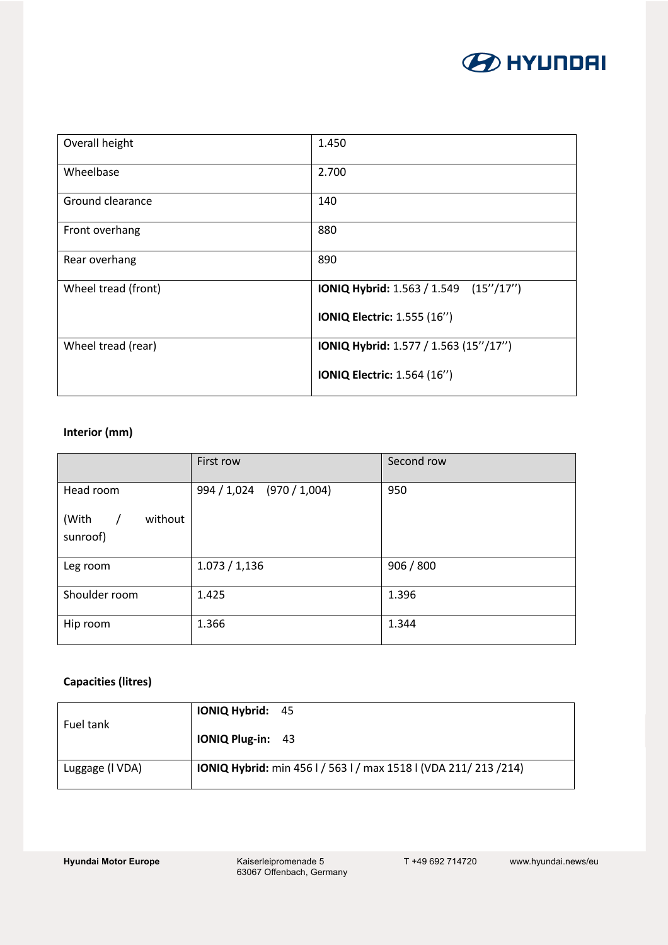

| Overall height      | 1.450                                 |
|---------------------|---------------------------------------|
| Wheelbase           | 2.700                                 |
| Ground clearance    | 140                                   |
| Front overhang      | 880                                   |
| Rear overhang       | 890                                   |
| Wheel tread (front) | IONIQ Hybrid: 1.563 / 1.549 (15"/17") |
|                     | <b>IONIQ Electric: 1.555 (16")</b>    |
| Wheel tread (rear)  | IONIQ Hybrid: 1.577 / 1.563 (15"/17") |
|                     | <b>IONIQ Electric: 1.564 (16")</b>    |

#### **Interior (mm)**

|                                            | First row                 | Second row |
|--------------------------------------------|---------------------------|------------|
| Head room                                  | 994 / 1,024 (970 / 1,004) | 950        |
| (With<br>without<br>$\sqrt{ }$<br>sunroof) |                           |            |
| Leg room                                   | 1.073 / 1.136             | 906 / 800  |
| Shoulder room                              | 1.425                     | 1.396      |
| Hip room                                   | 1.366                     | 1.344      |

## **Capacities (litres)**

| Fuel tank       | <b>IONIQ Hybrid: 45</b>                                                 |
|-----------------|-------------------------------------------------------------------------|
|                 | <b>IONIQ Plug-in: 43</b>                                                |
| Luggage (I VDA) | <b>IONIQ Hybrid:</b> min 456 l / 563 l / max 1518 l (VDA 211/ 213 /214) |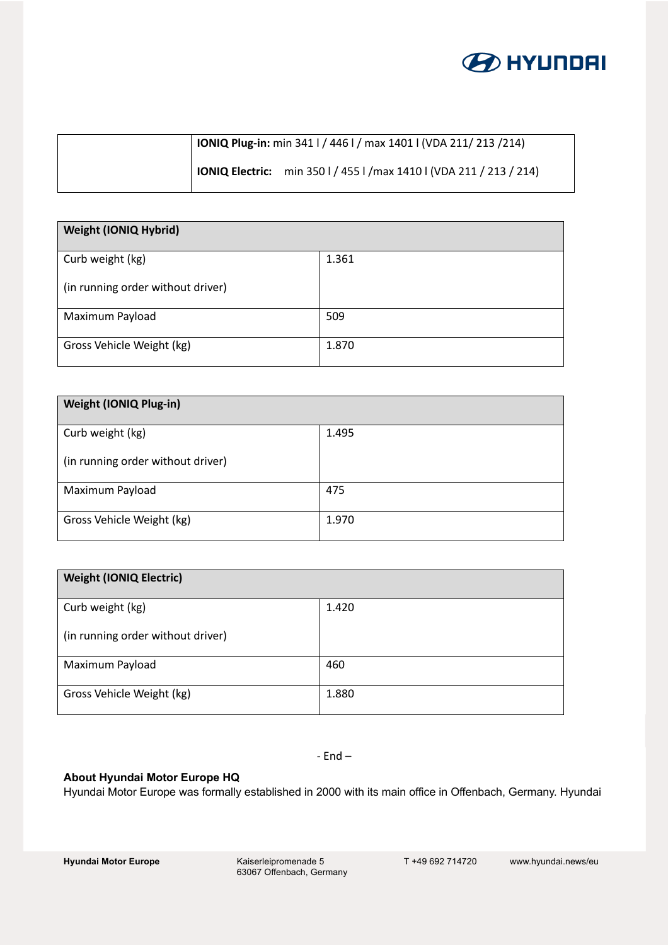

| <b>IONIQ Plug-in:</b> min 341   / 446   / max 1401   (VDA 211/ 213 / 214) |                                                                            |
|---------------------------------------------------------------------------|----------------------------------------------------------------------------|
|                                                                           | <b>IONIQ Electric:</b> min 350 l / 455 l /max 1410 l (VDA 211 / 213 / 214) |

| <b>Weight (IONIQ Hybrid)</b>      |       |
|-----------------------------------|-------|
| Curb weight (kg)                  | 1.361 |
| (in running order without driver) |       |
| Maximum Payload                   | 509   |
| Gross Vehicle Weight (kg)         | 1.870 |

| <b>Weight (IONIQ Plug-in)</b>     |       |
|-----------------------------------|-------|
| Curb weight (kg)                  | 1.495 |
| (in running order without driver) |       |
| Maximum Payload                   | 475   |
| Gross Vehicle Weight (kg)         | 1.970 |

| <b>Weight (IONIQ Electric)</b>    |       |
|-----------------------------------|-------|
| Curb weight (kg)                  | 1.420 |
| (in running order without driver) |       |
| Maximum Payload                   | 460   |
| Gross Vehicle Weight (kg)         | 1.880 |

- End –

## **About Hyundai Motor Europe HQ**

Hyundai Motor Europe was formally established in 2000 with its main office in Offenbach, Germany. Hyundai